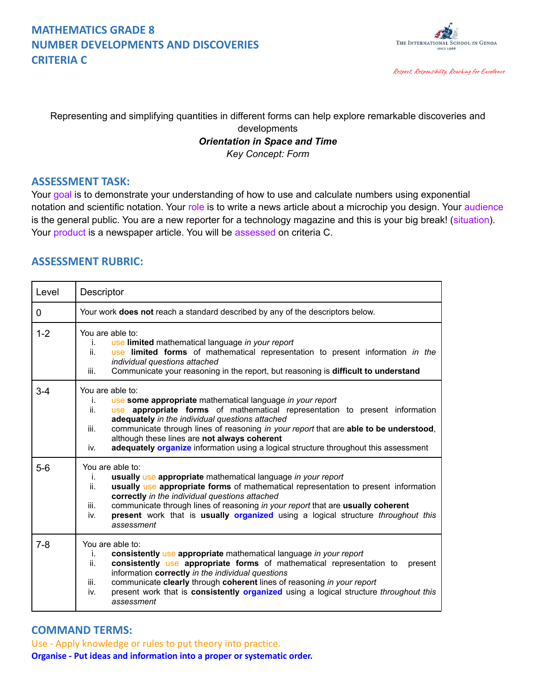### **MATHEMATICS GRADE 8 NUMBER DEVELOPMENTS AND DISCOVERIES CRITERIA C**



Respect, Responsibility, Reaching for Excellence

Representing and simplifying quantities in different forms can help explore remarkable discoveries and

#### developments *Orientation in Space and Time Key Concept: Form*

#### **ASSESSMENT TASK:**

Your goal is to demonstrate your understanding of how to use and calculate numbers using exponential notation and scientific notation. Your role is to write a news article about a microchip you design. Your audience is the general public. You are a new reporter for a technology magazine and this is your big break! (situation). Your product is a newspaper article. You will be assessed on criteria C.

### **ASSESSMENT RUBRIC:**

| Level   | Descriptor                                                                                                                                                                                                                                                                                                                                                                                                                                                                   |
|---------|------------------------------------------------------------------------------------------------------------------------------------------------------------------------------------------------------------------------------------------------------------------------------------------------------------------------------------------------------------------------------------------------------------------------------------------------------------------------------|
| 0       | Your work does not reach a standard described by any of the descriptors below.                                                                                                                                                                                                                                                                                                                                                                                               |
| $1 - 2$ | You are able to:<br>use limited mathematical language in your report<br>i.<br>ii.<br>use limited forms of mathematical representation to present information in the<br>individual questions attached<br>Communicate your reasoning in the report, but reasoning is difficult to understand<br>iii.                                                                                                                                                                           |
| $3 - 4$ | You are able to:<br>use some appropriate mathematical language in your report<br>i.<br>ii.<br>use appropriate forms of mathematical representation to present information<br>adequately in the individual questions attached<br>communicate through lines of reasoning in your report that are able to be understood,<br>iii.<br>although these lines are not always coherent<br>adequately organize information using a logical structure throughout this assessment<br>iv. |
| $5-6$   | You are able to:<br>usually use appropriate mathematical language in your report<br>i.<br>usually use appropriate forms of mathematical representation to present information<br>ii.<br>correctly in the individual questions attached<br>communicate through lines of reasoning in your report that are usually coherent<br>iii.<br>present work that is usually organized using a logical structure <i>throughout this</i><br>iv.<br>assessment                            |
| $7 - 8$ | You are able to:<br>consistently use appropriate mathematical language in your report<br>i.<br>consistently use appropriate forms of mathematical representation to<br>ii.<br>present<br>information correctly in the individual questions<br>communicate clearly through coherent lines of reasoning in your report<br>iii.<br>present work that is consistently organized using a logical structure throughout this<br>iv.<br>assessment                                   |

#### **COMMAND TERMS:**

Use - Apply knowledge or rules to put theory into practice. **Organise - Put ideas and information into a proper or systematic order.**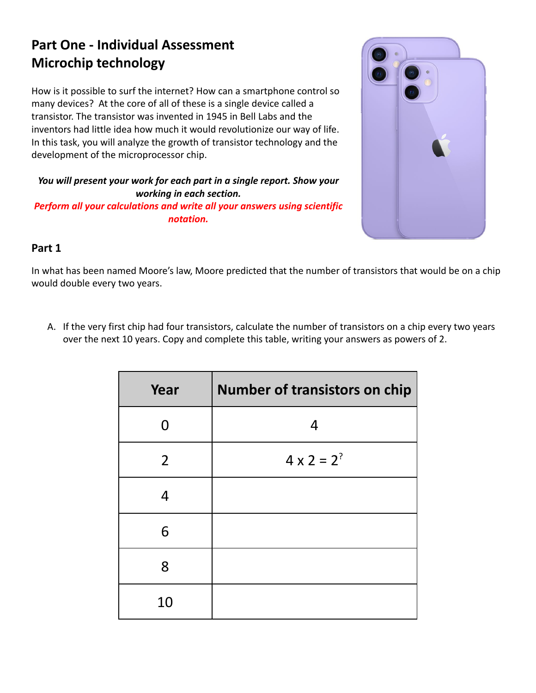# **Part One - Individual Assessment Microchip technology**

How is it possible to surf the internet? How can a smartphone control so many devices? At the core of all of these is a single device called a transistor. The transistor was invented in 1945 in Bell Labs and the inventors had little idea how much it would revolutionize our way of life. In this task, you will analyze the growth of transistor technology and the development of the microprocessor chip.

*You will present your work for each part in a single report. Show your working in each section.*

*Perform all your calculations and write all your answers using scientific notation.*



## **Part 1**

In what has been named Moore's law, Moore predicted that the number of transistors that would be on a chip would double every two years.

A. If the very first chip had four transistors, calculate the number of transistors on a chip every two years over the next 10 years. Copy and complete this table, writing your answers as powers of 2.

| Year           | <b>Number of transistors on chip</b> |
|----------------|--------------------------------------|
| N              | 4                                    |
| $\overline{2}$ | $4 \times 2 = 2^?$                   |
| $\overline{4}$ |                                      |
| 6              |                                      |
| 8              |                                      |
| 10             |                                      |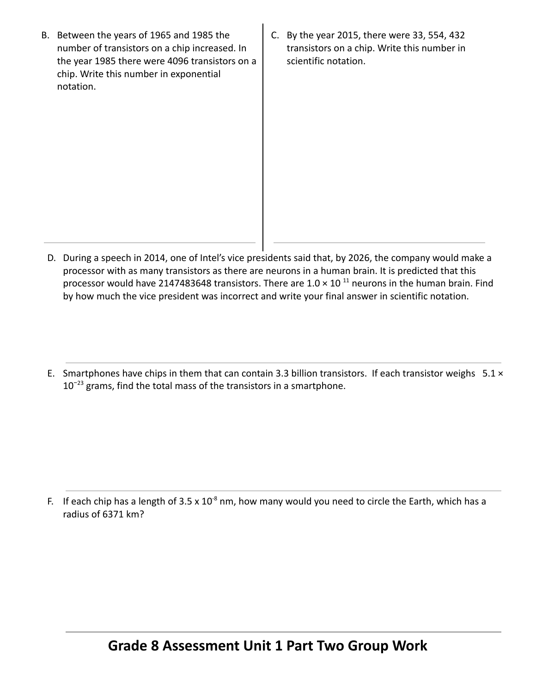- B. Between the years of 1965 and 1985 the number of transistors on a chip increased. In the year 1985 there were 4096 transistors on a chip. Write this number in exponential notation.
- C. By the year 2015, there were 33, 554, 432 transistors on a chip. Write this number in scientific notation.

- D. During a speech in 2014, one of Intel's vice presidents said that, by 2026, the company would make a processor with as many transistors as there are neurons in a human brain. It is predicted that this processor would have 2147483648 transistors. There are  $1.0 \times 10^{-11}$  neurons in the human brain. Find by how much the vice president was incorrect and write your final answer in scientific notation.
- E. Smartphones have chips in them that can contain 3.3 billion transistors. If each transistor weighs  $5.1 \times$  $10^{-23}$  grams, find the total mass of the transistors in a smartphone.

F. If each chip has a length of  $3.5 \times 10^{-8}$  nm, how many would you need to circle the Earth, which has a radius of 6371 km?